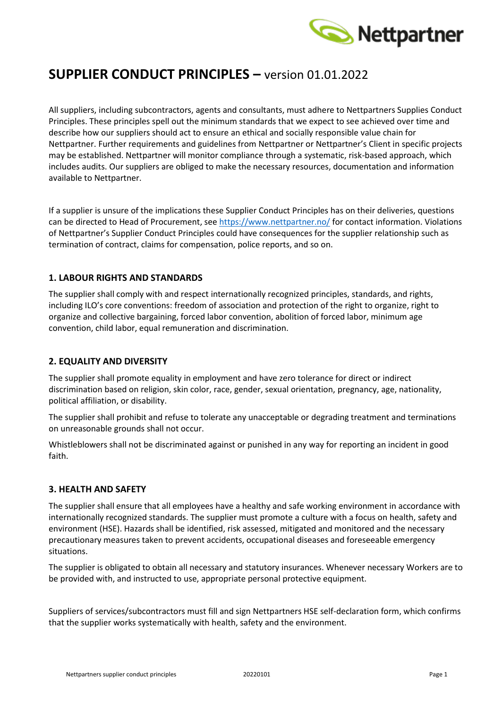

# **SUPPLIER CONDUCT PRINCIPLES –** version 01.01.2022

All suppliers, including subcontractors, agents and consultants, must adhere to Nettpartners Supplies Conduct Principles. These principles spell out the minimum standards that we expect to see achieved over time and describe how our suppliers should act to ensure an ethical and socially responsible value chain for Nettpartner. Further requirements and guidelines from Nettpartner or Nettpartner's Client in specific projects may be established. Nettpartner will monitor compliance through a systematic, risk-based approach, which includes audits. Our suppliers are obliged to make the necessary resources, documentation and information available to Nettpartner.

If a supplier is unsure of the implications these Supplier Conduct Principles has on their deliveries, questions can be directed to Head of Procurement, see<https://www.nettpartner.no/> for contact information. Violations of Nettpartner's Supplier Conduct Principles could have consequences for the supplier relationship such as termination of contract, claims for compensation, police reports, and so on.

## **1. LABOUR RIGHTS AND STANDARDS**

The supplier shall comply with and respect internationally recognized principles, standards, and rights, including ILO's core conventions: freedom of association and protection of the right to organize, right to organize and collective bargaining, forced labor convention, abolition of forced labor, minimum age convention, child labor, equal remuneration and discrimination.

#### **2. EQUALITY AND DIVERSITY**

The supplier shall promote equality in employment and have zero tolerance for direct or indirect discrimination based on religion, skin color, race, gender, sexual orientation, pregnancy, age, nationality, political affiliation, or disability.

The supplier shall prohibit and refuse to tolerate any unacceptable or degrading treatment and terminations on unreasonable grounds shall not occur.

Whistleblowers shall not be discriminated against or punished in any way for reporting an incident in good faith.

#### **3. HEALTH AND SAFETY**

The supplier shall ensure that all employees have a healthy and safe working environment in accordance with internationally recognized standards. The supplier must promote a culture with a focus on health, safety and environment (HSE). Hazards shall be identified, risk assessed, mitigated and monitored and the necessary precautionary measures taken to prevent accidents, occupational diseases and foreseeable emergency situations.

The supplier is obligated to obtain all necessary and statutory insurances. Whenever necessary Workers are to be provided with, and instructed to use, appropriate personal protective equipment.

Suppliers of services/subcontractors must fill and sign Nettpartners HSE self-declaration form, which confirms that the supplier works systematically with health, safety and the environment.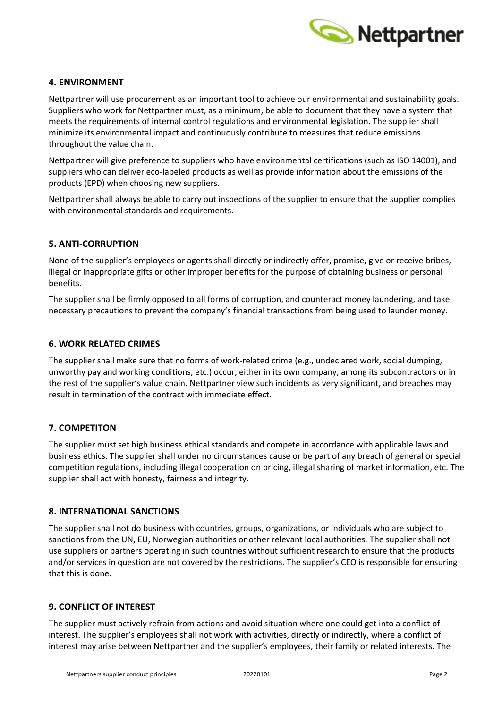

## **4. ENVIRONMENT**

Nettpartner will use procurement as an important tool to achieve our environmental and sustainability goals. Suppliers who work for Nettpartner must, as a minimum, be able to document that they have a system that meets the requirements of internal control regulations and environmental legislation. The supplier shall minimize its environmental impact and continuously contribute to measures that reduce emissions throughout the value chain.

Nettpartner will give preference to suppliers who have environmental certifications (such as ISO 14001), and suppliers who can deliver eco-labeled products as well as provide information about the emissions of the products (EPD) when choosing new suppliers.

Nettpartner shall always be able to carry out inspections of the supplier to ensure that the supplier complies with environmental standards and requirements.

## **5. ANTI-CORRUPTION**

None of the supplier's employees or agents shall directly or indirectly offer, promise, give or receive bribes, illegal or inappropriate gifts or other improper benefits for the purpose of obtaining business or personal benefits.

The supplier shall be firmly opposed to all forms of corruption, and counteract money laundering, and take necessary precautions to prevent the company's financial transactions from being used to launder money.

#### **6. WORK RELATED CRIMES**

The supplier shall make sure that no forms of work-related crime (e.g., undeclared work, social dumping, unworthy pay and working conditions, etc.) occur, either in its own company, among its subcontractors or in the rest of the supplier's value chain. Nettpartner view such incidents as very significant, and breaches may result in termination of the contract with immediate effect.

#### **7. COMPETITON**

The supplier must set high business ethical standards and compete in accordance with applicable laws and business ethics. The supplier shall under no circumstances cause or be part of any breach of general or special competition regulations, including illegal cooperation on pricing, illegal sharing of market information, etc. The supplier shall act with honesty, fairness and integrity.

#### **8. INTERNATIONAL SANCTIONS**

The supplier shall not do business with countries, groups, organizations, or individuals who are subject to sanctions from the UN, EU, Norwegian authorities or other relevant local authorities. The supplier shall not use suppliers or partners operating in such countries without sufficient research to ensure that the products and/or services in question are not covered by the restrictions. The supplier's CEO is responsible for ensuring that this is done.

#### **9. CONFLICT OF INTEREST**

The supplier must actively refrain from actions and avoid situation where one could get into a conflict of interest. The supplier's employees shall not work with activities, directly or indirectly, where a conflict of interest may arise between Nettpartner and the supplier's employees, their family or related interests. The